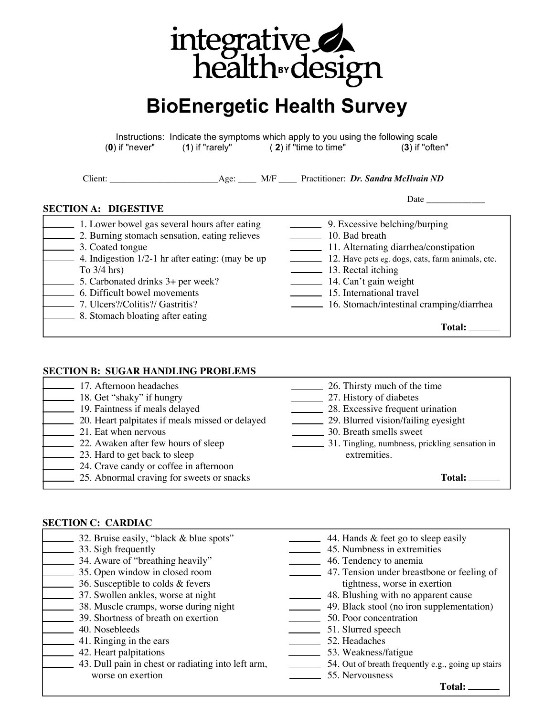

# **BioEnergetic Health Survey**

Instructions: Indicate the symptoms which apply to you using the following scale (**0**) if "never" (**1**) if "rarely" ( **2**) if "time to time" (**3**) if "often"

Client: \_\_\_\_\_\_\_\_\_\_\_\_\_\_\_\_\_\_\_\_\_\_\_\_Age: \_\_\_\_ M/F \_\_\_\_ Practitioner: *Dr. Sandra McIlvain ND*

# **SECTION A: DIGESTIVE**

| 1. Lower bowel gas several hours after eating<br>2. Burning stomach sensation, eating relieves<br>3. Coated tongue<br>4. Indigestion $1/2$ -1 hr after eating: (may be up<br>To $3/4$ hrs)<br>5. Carbonated drinks 3+ per week?<br>6. Difficult bowel movements<br>7. Ulcers?/Colitis?/ Gastritis?<br>8. Stomach bloating after eating | 9. Excessive belching/burping<br>10. Bad breath<br>11. Alternating diarrhea/constipation<br>12. Have pets eg. dogs, cats, farm animals, etc.<br>13. Rectal itching<br>14. Can't gain weight<br>15. International travel<br>16. Stomach/intestinal cramping/diarrhea |
|----------------------------------------------------------------------------------------------------------------------------------------------------------------------------------------------------------------------------------------------------------------------------------------------------------------------------------------|---------------------------------------------------------------------------------------------------------------------------------------------------------------------------------------------------------------------------------------------------------------------|
|                                                                                                                                                                                                                                                                                                                                        | <b>Total:</b>                                                                                                                                                                                                                                                       |
|                                                                                                                                                                                                                                                                                                                                        |                                                                                                                                                                                                                                                                     |

# **SECTION B: SUGAR HANDLING PROBLEMS**

| 17. Afternoon headaches                         | 26. Thirsty much of the time                   |
|-------------------------------------------------|------------------------------------------------|
| 18. Get "shaky" if hungry                       | 27. History of diabetes                        |
| 19. Faintness if meals delayed                  | 28. Excessive frequent urination               |
| 20. Heart palpitates if meals missed or delayed | 29. Blurred vision/failing eyesight            |
| 21. Eat when nervous                            | 30. Breath smells sweet                        |
| 22. Awaken after few hours of sleep             | 31. Tingling, numbness, prickling sensation in |
| 23. Hard to get back to sleep                   | extremities.                                   |
| 24. Crave candy or coffee in afternoon          |                                                |
| 25. Abnormal craving for sweets or snacks       | <b>Total:</b>                                  |

# **SECTION C: CARDIAC**

| 32. Bruise easily, "black & blue spots"            | 44. Hands & feet go to sleep easily                |
|----------------------------------------------------|----------------------------------------------------|
| 33. Sigh frequently                                | 45. Numbness in extremities                        |
| 34. Aware of "breathing heavily"                   | 46. Tendency to anemia                             |
| 35. Open window in closed room                     | 47. Tension under breastbone or feeling of         |
| 36. Susceptible to colds & fevers                  | tightness, worse in exertion                       |
| 37. Swollen ankles, worse at night                 | 48. Blushing with no apparent cause                |
| 38. Muscle cramps, worse during night              | 49. Black stool (no iron supplementation)          |
| 39. Shortness of breath on exertion                | 50. Poor concentration                             |
| 40. Nosebleeds                                     | 51. Slurred speech                                 |
| 41. Ringing in the ears                            | 52. Headaches                                      |
| 42. Heart palpitations                             | 53. Weakness/fatigue                               |
| 43. Dull pain in chest or radiating into left arm, | 54. Out of breath frequently e.g., going up stairs |
| worse on exertion                                  | 55. Nervousness                                    |
|                                                    |                                                    |

**Total:**

Date  $\_\_$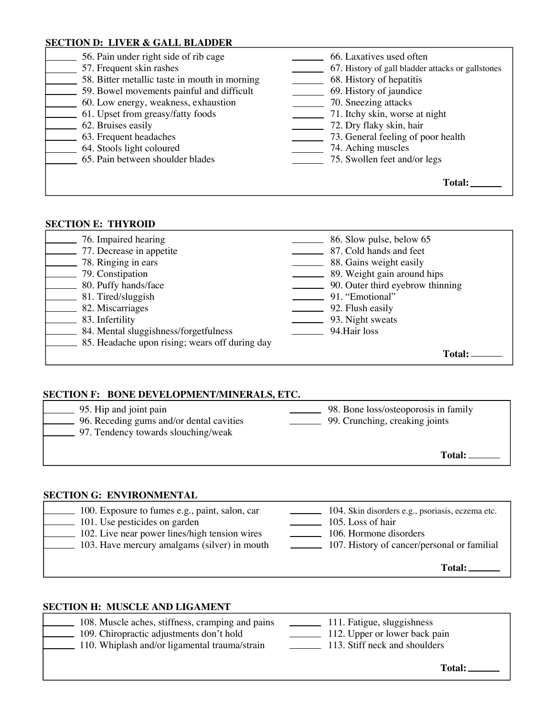# **SECTION D: LIVER & GALL BLADDER**

| 56. Pain under right side of rib cage         | 66. Laxatives used often                          |
|-----------------------------------------------|---------------------------------------------------|
| 57. Frequent skin rashes                      | 67. History of gall bladder attacks or gallstones |
| 58. Bitter metallic taste in mouth in morning | 68. History of hepatitis                          |
| 59. Bowel movements painful and difficult     | 69. History of jaundice                           |
| 60. Low energy, weakness, exhaustion          | 70. Sneezing attacks                              |
| 61. Upset from greasy/fatty foods             | 71. Itchy skin, worse at night                    |
| 62. Bruises easily                            | 72. Dry flaky skin, hair                          |
| 63. Frequent headaches                        | 73. General feeling of poor health                |
| 64. Stools light coloured                     | 74. Aching muscles                                |
| 65. Pain between shoulder blades              | 75. Swollen feet and/or legs                      |
|                                               |                                                   |
|                                               | <b>Total:</b>                                     |
|                                               |                                                   |

# **SECTION E: THYROID**

| 76. Impaired hearing                           | 86. Slow pulse, below 65         |
|------------------------------------------------|----------------------------------|
| 77. Decrease in appetite                       | 87. Cold hands and feet          |
| 78. Ringing in ears                            | 88. Gains weight easily          |
| 79. Constipation                               | 89. Weight gain around hips      |
| 80. Puffy hands/face                           | 90. Outer third eyebrow thinning |
| 81. Tired/sluggish                             | 91. "Emotional"                  |
| 82. Miscarriages                               | 92. Flush easily                 |
| 83. Infertility                                | 93. Night sweats                 |
| 84. Mental sluggishness/forgetfulness          | 94. Hair loss                    |
| 85. Headache upon rising; wears off during day |                                  |
|                                                | Total                            |

# **SECTION F: BONE DEVELOPMENT/MINERALS, ETC.**

| 95. Hip and joint pain<br>96. Receding gums and/or dental cavities<br>97. Tendency towards slouching/weak | 98. Bone loss/osteoporosis in family<br>99. Crunching, creaking joints |
|-----------------------------------------------------------------------------------------------------------|------------------------------------------------------------------------|
|                                                                                                           | Total:                                                                 |

# **SECTION G: ENVIRONMENTAL**

| 100. Exposure to fumes e.g., paint, salon, car | 104. Skin disorders e.g., psoriasis, eczema etc. |
|------------------------------------------------|--------------------------------------------------|
| 101. Use pesticides on garden                  | 105. Loss of hair                                |
| 102. Live near power lines/high tension wires  | 106. Hormone disorders                           |
| 103. Have mercury amalgams (silver) in mouth   | 107. History of cancer/personal or familial      |
|                                                | Total:                                           |

# **SECTION H: MUSCLE AND LIGAMENT**

| 108. Muscle aches, stiffness, cramping and pains<br>109. Chiropractic adjustments don't hold<br>110. Whiplash and/or ligamental trauma/strain | 111. Fatigue, sluggishness<br>112. Upper or lower back pain<br>113. Stiff neck and shoulders<br>$\mathcal{L}^{\text{max}}_{\text{max}}$ , and $\mathcal{L}^{\text{max}}_{\text{max}}$ |
|-----------------------------------------------------------------------------------------------------------------------------------------------|---------------------------------------------------------------------------------------------------------------------------------------------------------------------------------------|
|                                                                                                                                               | $\mathbf{T}$ otal $\cdot$                                                                                                                                                             |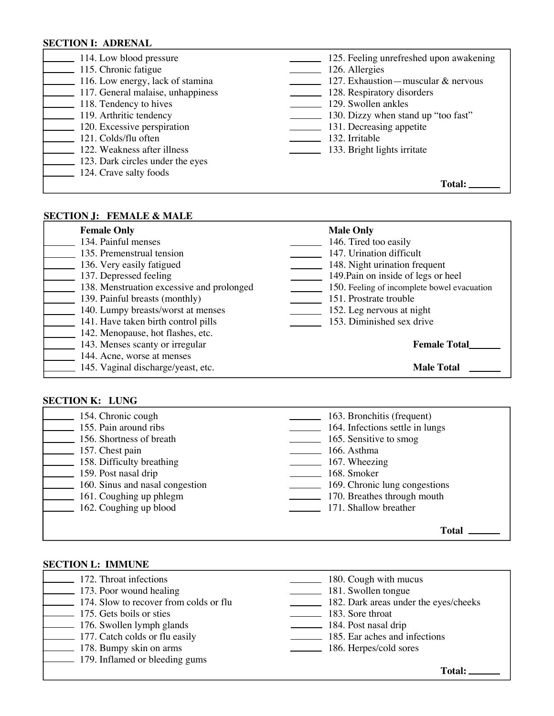# **SECTION I: ADRENAL**

| 114. Low blood pressure           | 125. Feeling unrefreshed upon awakening |
|-----------------------------------|-----------------------------------------|
| 115. Chronic fatigue              | 126. Allergies                          |
| 116. Low energy, lack of stamina  | 127. Exhaustion - muscular & nervous    |
| 117. General malaise, unhappiness | 128. Respiratory disorders              |
| 118. Tendency to hives            | 129. Swollen ankles                     |
| 119. Arthritic tendency           | 130. Dizzy when stand up "too fast"     |
| 120. Excessive perspiration       | 131. Decreasing appetite                |
| 121. Colds/flu often              | 132. Irritable                          |
| 122. Weakness after illness       | 133. Bright lights irritate             |
| 123. Dark circles under the eyes  |                                         |
| 124. Crave salty foods            |                                         |
|                                   | <b>Total:</b>                           |
|                                   |                                         |

# **SECTION J: FEMALE & MALE**

| <b>Female Only</b>                        | <b>Male Only</b>                            |
|-------------------------------------------|---------------------------------------------|
| 134. Painful menses                       | 146. Tired too easily                       |
| 135. Premenstrual tension                 | 147. Urination difficult                    |
| 136. Very easily fatigued                 | 148. Night urination frequent               |
| 137. Depressed feeling                    | 149. Pain on inside of legs or heel         |
| 138. Menstruation excessive and prolonged | 150. Feeling of incomplete bowel evacuation |
| 139. Painful breasts (monthly)            | 151. Prostrate trouble                      |
| 140. Lumpy breasts/worst at menses        | 152. Leg nervous at night                   |
| 141. Have taken birth control pills       | 153. Diminished sex drive                   |
| 142. Menopause, hot flashes, etc.         |                                             |
| 143. Menses scanty or irregular           | <b>Female Total</b>                         |
| 144. Acne, worse at menses                |                                             |
| 145. Vaginal discharge/yeast, etc.        | <b>Male Total</b>                           |

#### **SECTION K: LUNG**

| 154. Chronic cough              | 163. Bronchitis (frequent)      |
|---------------------------------|---------------------------------|
| 155. Pain around ribs           | 164. Infections settle in lungs |
| 156. Shortness of breath        | 165. Sensitive to smog          |
| 157. Chest pain                 | 166. Asthma                     |
| 158. Difficulty breathing       | 167. Wheezing                   |
| 159. Post nasal drip            | 168. Smoker                     |
| 160. Sinus and nasal congestion | 169. Chronic lung congestions   |
| 161. Coughing up phlegm         | 170. Breathes through mouth     |
| 162. Coughing up blood          | 171. Shallow breather           |
|                                 |                                 |
|                                 | <b>Total</b>                    |

#### **SECTION L: IMMUNE**

| 172. Throat infections                               | 180. Cough with mucus                 |
|------------------------------------------------------|---------------------------------------|
| 173. Poor wound healing                              | 181. Swollen tongue                   |
| 174. Slow to recover from colds or flu               | 182. Dark areas under the eyes/cheeks |
| 175. Gets boils or sties                             | 183. Sore throat                      |
| 176. Swollen lymph glands                            | 184. Post nasal drip                  |
| $\boxed{\phantom{1}}$ 177. Catch colds or flu easily | 185. Ear aches and infections         |
| 178. Bumpy skin on arms                              | 186. Herpes/cold sores                |
| 179. Inflamed or bleeding gums                       |                                       |

**Total:**